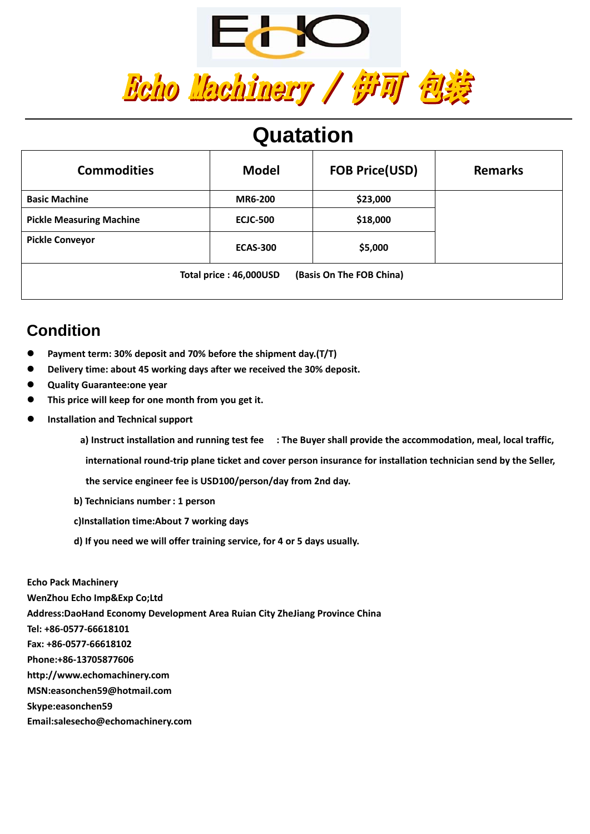

## **Quatation**

| <b>Commodities</b>                                 | <b>Model</b>    | <b>FOB Price(USD)</b> | <b>Remarks</b> |  |  |
|----------------------------------------------------|-----------------|-----------------------|----------------|--|--|
| <b>Basic Machine</b>                               | <b>MR6-200</b>  | \$23,000              |                |  |  |
| <b>Pickle Measuring Machine</b>                    | <b>ECJC-500</b> | \$18,000              |                |  |  |
| <b>Pickle Conveyor</b>                             | <b>ECAS-300</b> | \$5,000               |                |  |  |
| (Basis On The FOB China)<br>Total price: 46,000USD |                 |                       |                |  |  |

### **Condition**

- z **Payment term: 30% deposit and 70% before the shipment day.(T/T)**
- z **Delivery time: about 45 working days after we received the 30% deposit.**
- z **Quality Guarantee:one year**
- z **This price will keep for one month from you get it.**
- z **Installation and Technical support**
	- a) Instruct installation and running test fee : The Buyer shall provide the accommodation, meal, local traffic,
	- international round-trip plane ticket and cover person insurance for installation technician send by the Seller,
	- **the service engineer fee is USD100/person/day from 2nd day.**
	- **b) Technicians number: 1 person**
	- **c)Installation time:About 7 working days**
	- **d) If you need we will offer training service, for 4 or 5 days usually.**

**Echo Pack Machinery WenZhou Echo Imp&Exp Co;Ltd Address:DaoHand Economy Development Area Ruian City ZheJiang Province China Tel: +86‐0577‐66618101 Fax: +86‐0577‐66618102 Phone:+86‐13705877606 http://www.echomachinery.com MSN:easonchen59@hotmail.com Skype:easonchen59 Email:salesecho@echomachinery.com**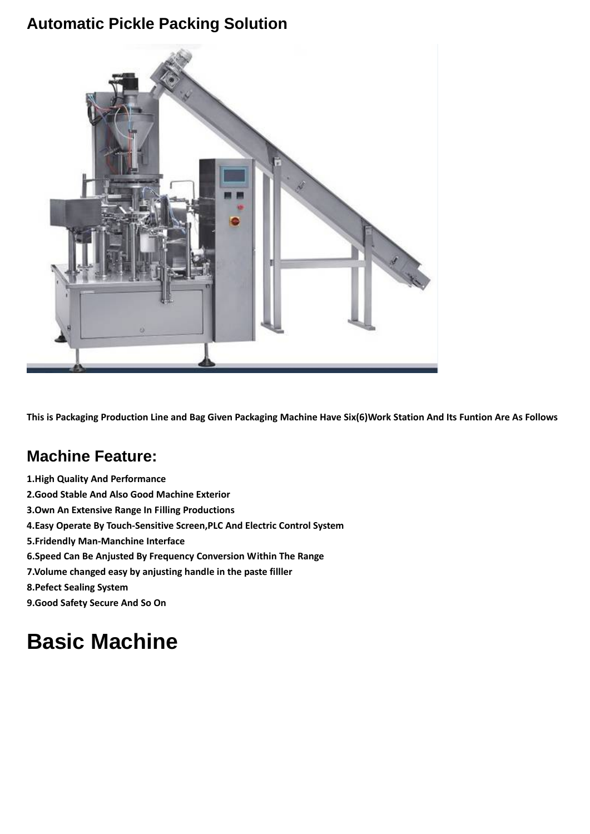#### **Automatic Pickle Packing Solution**



This is Packaging Production Line and Bag Given Packaging Machine Have Six(6)Work Station And Its Funtion Are As Follows

### **Machine Feature:**

**1.High Quality And Performance 2.Good Stable And Also Good Machine Exterior 3.Own An Extensive Range In Filling Productions 4.Easy Operate By Touch‐Sensitive Screen,PLC And Electric Control System 5.Fridendly Man‐Manchine Interface 6.Speed Can Be Anjusted By Frequency Conversion Within The Range 7.Volume changed easy by anjusting handle in the paste filller 8.Pefect Sealing System 9.Good Safety Secure And So On**

# **Basic Machine**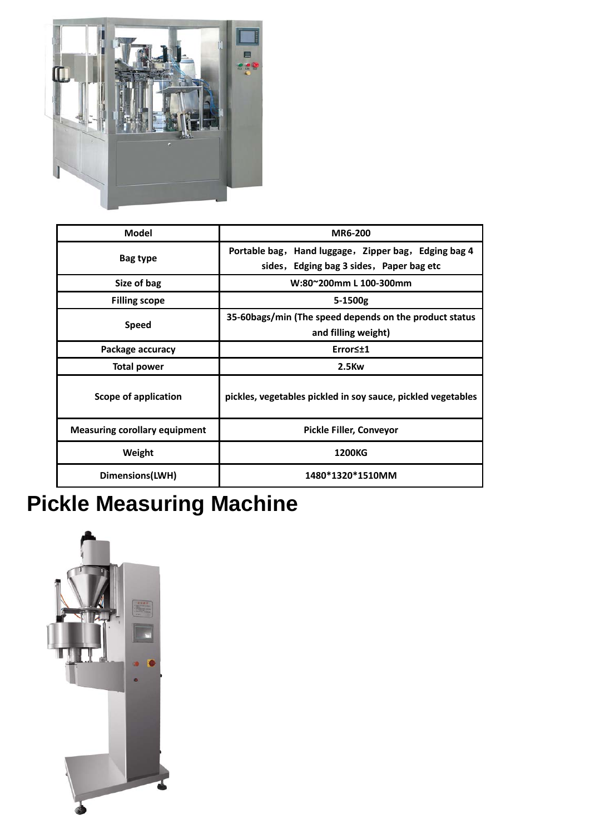

| <b>Model</b>                         | <b>MR6-200</b>                                                                                   |  |  |  |
|--------------------------------------|--------------------------------------------------------------------------------------------------|--|--|--|
| Bag type                             | Portable bag, Hand luggage, Zipper bag, Edging bag 4<br>sides, Edging bag 3 sides, Paper bag etc |  |  |  |
| Size of bag                          | W:80~200mm L 100-300mm                                                                           |  |  |  |
| <b>Filling scope</b>                 | 5-1500g                                                                                          |  |  |  |
| <b>Speed</b>                         | 35-60bags/min (The speed depends on the product status<br>and filling weight)                    |  |  |  |
| Package accuracy                     | Error≤±1                                                                                         |  |  |  |
| <b>Total power</b>                   | $2.5$ Kw                                                                                         |  |  |  |
| Scope of application                 | pickles, vegetables pickled in soy sauce, pickled vegetables                                     |  |  |  |
| <b>Measuring corollary equipment</b> | Pickle Filler, Conveyor                                                                          |  |  |  |
| Weight                               | <b>1200KG</b>                                                                                    |  |  |  |
| Dimensions(LWH)                      | 1480*1320*1510MM                                                                                 |  |  |  |

# **Pickle Measuring Machine**

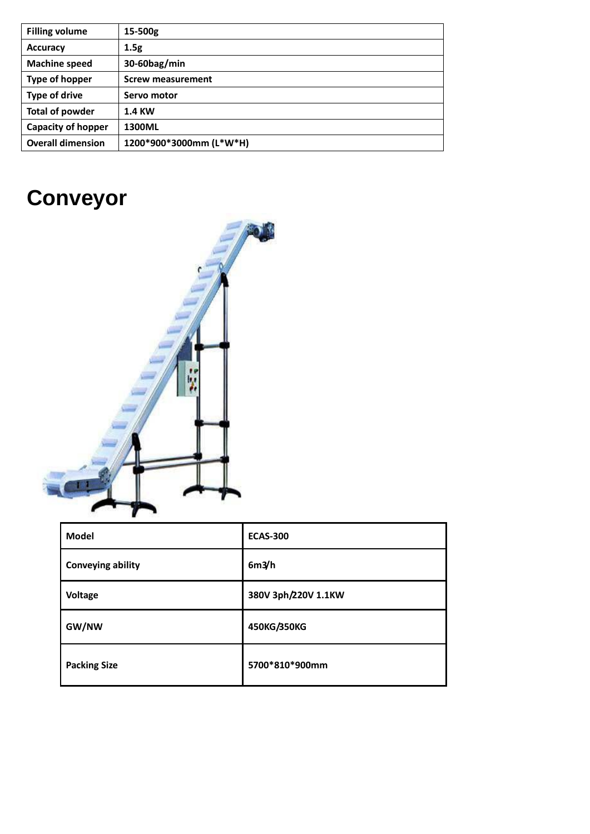| <b>Filling volume</b>     | $15 - 500g$              |
|---------------------------|--------------------------|
| <b>Accuracy</b>           | 1.5g                     |
| <b>Machine speed</b>      | 30-60bag/min             |
| Type of hopper            | <b>Screw measurement</b> |
| <b>Type of drive</b>      | Servo motor              |
| <b>Total of powder</b>    | <b>1.4 KW</b>            |
| <b>Capacity of hopper</b> | 1300ML                   |
| <b>Overall dimension</b>  | 1200*900*3000mm (L*W*H)  |

# **Conveyor**



| <b>Model</b>        | <b>ECAS-300</b>     |
|---------------------|---------------------|
| Conveying ability   | 6m3/h               |
| Voltage             | 380V 3ph/220V 1.1KW |
| GW/NW               | 450KG/350KG         |
| <b>Packing Size</b> | 5700*810*900mm      |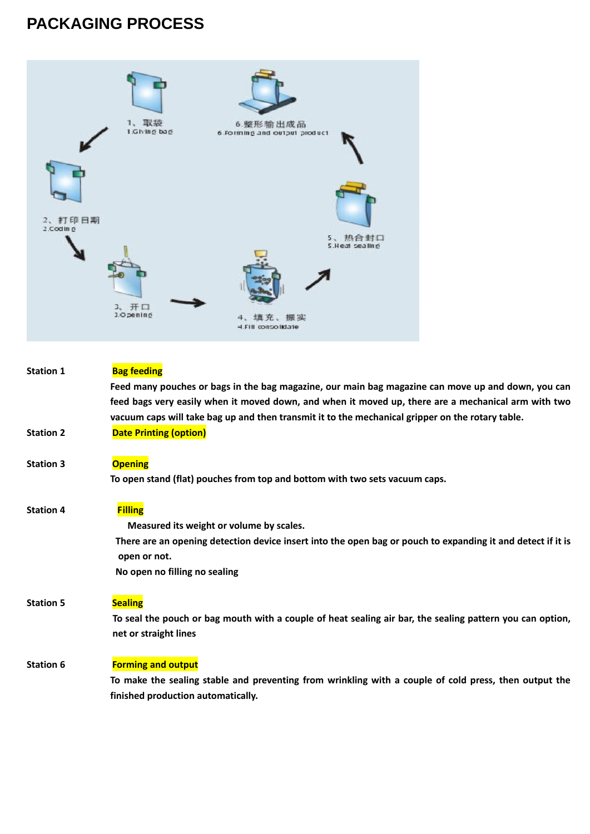## **PACKAGING PROCESS**



| <b>Station 1</b> | <b>Bag feeding</b>                                                                                                          |
|------------------|-----------------------------------------------------------------------------------------------------------------------------|
|                  | Feed many pouches or bags in the bag magazine, our main bag magazine can move up and down, you can                          |
|                  | feed bags very easily when it moved down, and when it moved up, there are a mechanical arm with two                         |
|                  | vacuum caps will take bag up and then transmit it to the mechanical gripper on the rotary table.                            |
| <b>Station 2</b> | <b>Date Printing (option)</b>                                                                                               |
| <b>Station 3</b> | <b>Opening</b>                                                                                                              |
|                  | To open stand (flat) pouches from top and bottom with two sets vacuum caps.                                                 |
| <b>Station 4</b> | <b>Filling</b>                                                                                                              |
|                  | Measured its weight or volume by scales.                                                                                    |
|                  | There are an opening detection device insert into the open bag or pouch to expanding it and detect if it is<br>open or not. |
|                  | No open no filling no sealing                                                                                               |
| <b>Station 5</b> | <b>Sealing</b>                                                                                                              |
|                  | To seal the pouch or bag mouth with a couple of heat sealing air bar, the sealing pattern you can option,                   |
|                  | net or straight lines                                                                                                       |
| <b>Station 6</b> | <b>Forming and output</b>                                                                                                   |
|                  | To make the sealing stable and preventing from wrinkling with a couple of cold press, then output the                       |
|                  | finished production automatically.                                                                                          |